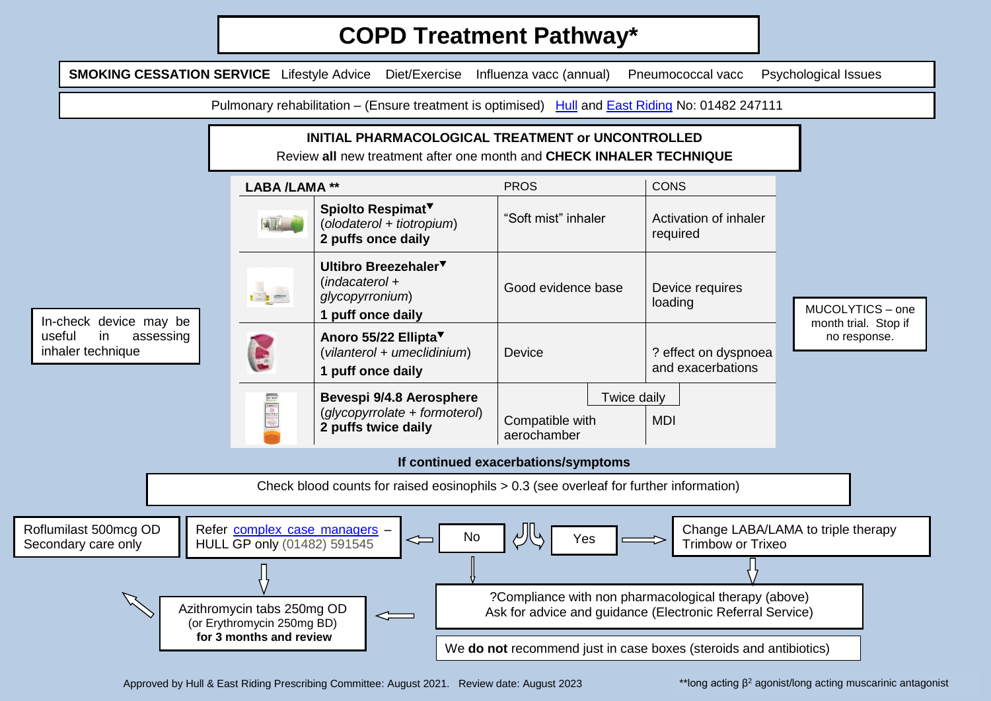## **COPD Treatment Pathway\***



Approved by Hull & East Riding Prescribing Committee: August 2021. Review date: August 2023

 $*$ long acting  $\beta^2$  agonist/long acting muscarinic antagonist